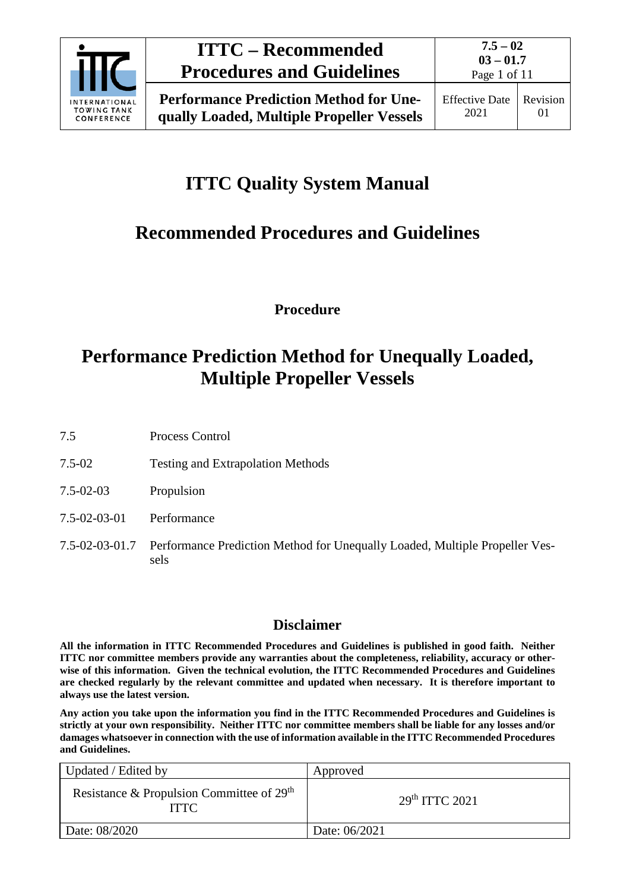

Page 1 of 11

# **ITTC Quality System Manual**

# **Recommended Procedures and Guidelines**

**Procedure**

# **Performance Prediction Method for Unequally Loaded, Multiple Propeller Vessels**

7.5 Process Control

- 7.5-02 Testing and Extrapolation Methods
- 7.5-02-03 Propulsion
- 7.5-02-03-01 Performance
- 7.5-02-03-01.7 Performance Prediction Method for Unequally Loaded, Multiple Propeller Vessels

### **Disclaimer**

**All the information in ITTC Recommended Procedures and Guidelines is published in good faith. Neither ITTC nor committee members provide any warranties about the completeness, reliability, accuracy or otherwise of this information. Given the technical evolution, the ITTC Recommended Procedures and Guidelines are checked regularly by the relevant committee and updated when necessary. It is therefore important to always use the latest version.**

**Any action you take upon the information you find in the ITTC Recommended Procedures and Guidelines is strictly at your own responsibility. Neither ITTC nor committee members shall be liable for any losses and/or damages whatsoever in connection with the use of information available in the ITTC Recommended Procedures and Guidelines.**

| Updated / Edited by                                        | Approved                   |
|------------------------------------------------------------|----------------------------|
| Resistance & Propulsion Committee of $29th$<br><b>ITTC</b> | 29 <sup>th</sup> ITTC 2021 |
| Date: 08/2020                                              | Date: 06/2021              |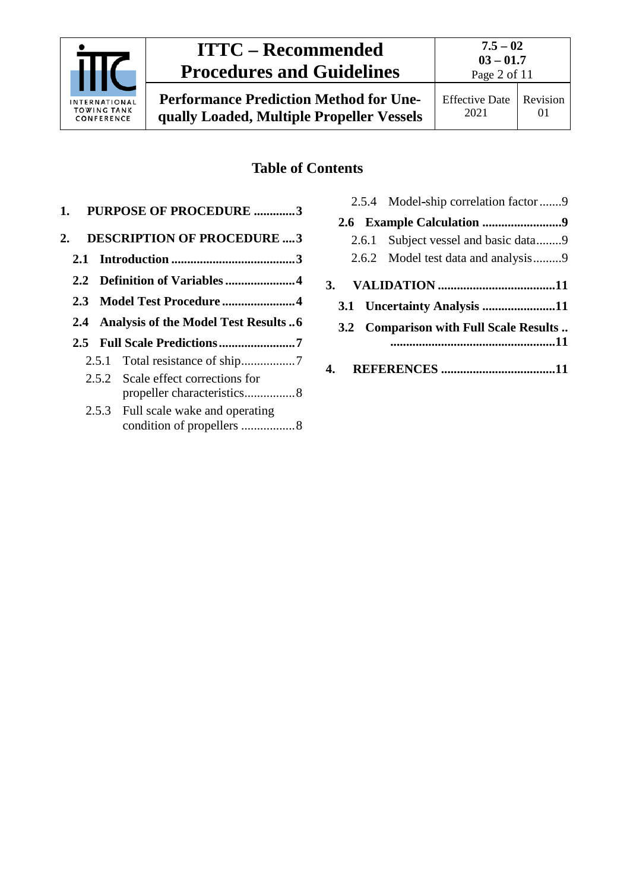

**Performance Prediction Method for Unequally Loaded, Multiple Propeller Vessels**

## **Table of Contents**

| 1. | <b>PURPOSE OF PROCEDURE 3</b>           |
|----|-----------------------------------------|
| 2. | <b>DESCRIPTION OF PROCEDURE  3</b>      |
|    |                                         |
|    |                                         |
|    | 2.3 Model Test Procedure4               |
|    | 2.4 Analysis of the Model Test Results6 |
|    |                                         |
|    |                                         |
|    | 2.5.2 Scale effect corrections for      |
|    | 2.5.3 Full scale wake and operating     |

| 2.5.4 Model-ship correlation factor9 |  |
|--------------------------------------|--|
|                                      |  |
| 2.6.1 Subject vessel and basic data9 |  |
| 2.6.2 Model test data and analysis9  |  |

- **3. VALIDATION [.....................................11](#page-10-0)**
	- **3.1 [Uncertainty Analysis](#page-10-1) .......................11**
	- **3.2 [Comparison with Full Scale Results](#page-10-2) .. [....................................................11](#page-10-2)**
- **4. REFERENCES [....................................11](#page-10-3)**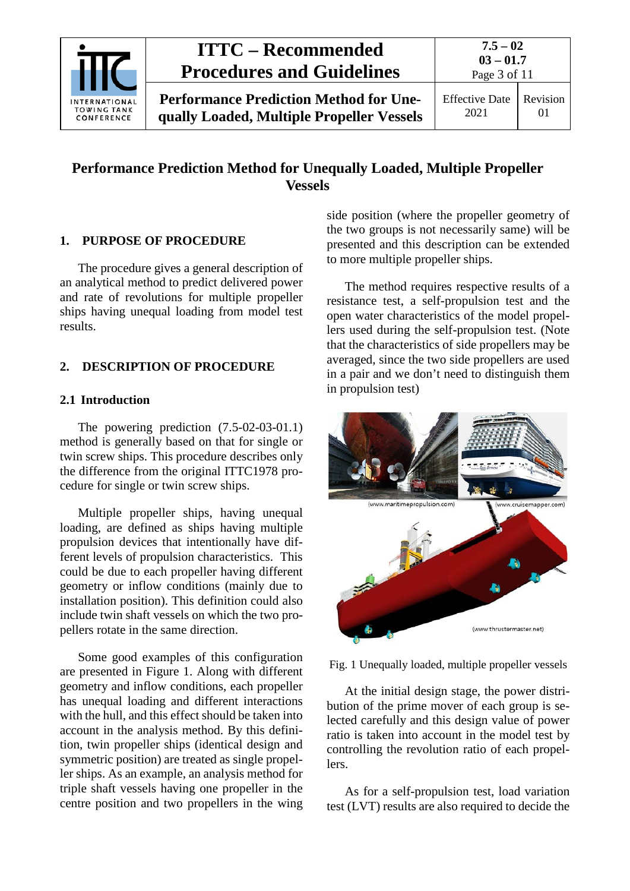

## **Performance Prediction Method for Unequally Loaded, Multiple Propeller Vessels**

#### <span id="page-2-0"></span>**1. PURPOSE OF PROCEDURE**

The procedure gives a general description of an analytical method to predict delivered power and rate of revolutions for multiple propeller ships having unequal loading from model test results.

### <span id="page-2-2"></span><span id="page-2-1"></span>**2. DESCRIPTION OF PROCEDURE**

### **2.1 Introduction**

The powering prediction (7.5-02-03-01.1) method is generally based on that for single or twin screw ships. This procedure describes only the difference from the original ITTC1978 procedure for single or twin screw ships.

Multiple propeller ships, having unequal loading, are defined as ships having multiple propulsion devices that intentionally have different levels of propulsion characteristics. This could be due to each propeller having different geometry or inflow conditions (mainly due to installation position). This definition could also include twin shaft vessels on which the two propellers rotate in the same direction.

Some good examples of this configuration are presented in Figure 1. Along with different geometry and inflow conditions, each propeller has unequal loading and different interactions with the hull, and this effect should be taken into account in the analysis method. By this definition, twin propeller ships (identical design and symmetric position) are treated as single propeller ships. As an example, an analysis method for triple shaft vessels having one propeller in the centre position and two propellers in the wing side position (where the propeller geometry of the two groups is not necessarily same) will be presented and this description can be extended to more multiple propeller ships.

The method requires respective results of a resistance test, a self-propulsion test and the open water characteristics of the model propellers used during the self-propulsion test. (Note that the characteristics of side propellers may be averaged, since the two side propellers are used in a pair and we don't need to distinguish them in propulsion test)



Fig. 1 Unequally loaded, multiple propeller vessels

At the initial design stage, the power distribution of the prime mover of each group is selected carefully and this design value of power ratio is taken into account in the model test by controlling the revolution ratio of each propellers.

As for a self-propulsion test, load variation test (LVT) results are also required to decide the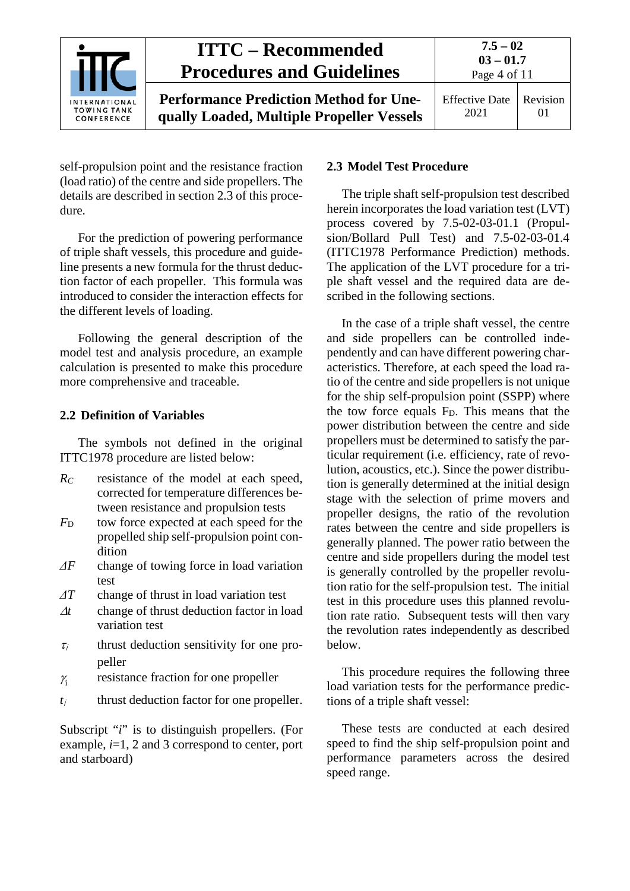

self-propulsion point and the resistance fraction (load ratio) of the centre and side propellers. The details are described in section 2.3 of this procedure.

For the prediction of powering performance of triple shaft vessels, this procedure and guideline presents a new formula for the thrust deduction factor of each propeller. This formula was introduced to consider the interaction effects for the different levels of loading.

Following the general description of the model test and analysis procedure, an example calculation is presented to make this procedure more comprehensive and traceable.

### <span id="page-3-0"></span>**2.2 Definition of Variables**

The symbols not defined in the original ITTC1978 procedure are listed below:

- *RC* resistance of the model at each speed, corrected for temperature differences between resistance and propulsion tests
- *F*<sub>D</sub> tow force expected at each speed for the propelled ship self-propulsion point condition
- *ΔF* change of towing force in load variation test
- *ΔT* change of thrust in load variation test
- <sup>∆</sup>*t* change of thrust deduction factor in load variation test
- $\tau_i$  thrust deduction sensitivity for one propeller
- $\gamma$  resistance fraction for one propeller
- $t_i$  thrust deduction factor for one propeller.

Subscript "*i*" is to distinguish propellers. (For example, *i*=1, 2 and 3 correspond to center, port and starboard)

#### <span id="page-3-1"></span>**2.3 Model Test Procedure**

The triple shaft self-propulsion test described herein incorporates the load variation test (LVT) process covered by 7.5-02-03-01.1 (Propulsion/Bollard Pull Test) and 7.5-02-03-01.4 (ITTC1978 Performance Prediction) methods. The application of the LVT procedure for a triple shaft vessel and the required data are described in the following sections.

In the case of a triple shaft vessel, the centre and side propellers can be controlled independently and can have different powering characteristics. Therefore, at each speed the load ratio of the centre and side propellers is not unique for the ship self-propulsion point (SSPP) where the tow force equals FD. This means that the power distribution between the centre and side propellers must be determined to satisfy the particular requirement (i.e. efficiency, rate of revolution, acoustics, etc.). Since the power distribution is generally determined at the initial design stage with the selection of prime movers and propeller designs, the ratio of the revolution rates between the centre and side propellers is generally planned. The power ratio between the centre and side propellers during the model test is generally controlled by the propeller revolution ratio for the self-propulsion test. The initial test in this procedure uses this planned revolution rate ratio. Subsequent tests will then vary the revolution rates independently as described below.

This procedure requires the following three load variation tests for the performance predictions of a triple shaft vessel:

These tests are conducted at each desired speed to find the ship self-propulsion point and performance parameters across the desired speed range.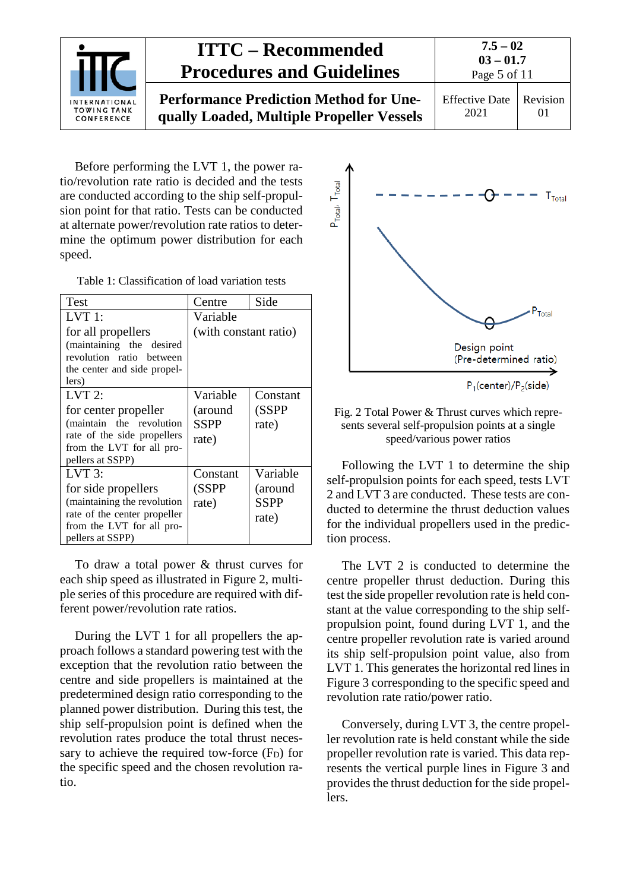

Before performing the LVT 1, the power ratio/revolution rate ratio is decided and the tests are conducted according to the ship self-propulsion point for that ratio. Tests can be conducted at alternate power/revolution rate ratios to determine the optimum power distribution for each speed.

Table 1: Classification of load variation tests

| Test                                                                                                                                          | Centre                                      | Side                                        |  |
|-----------------------------------------------------------------------------------------------------------------------------------------------|---------------------------------------------|---------------------------------------------|--|
| LVT 1:                                                                                                                                        | Variable                                    |                                             |  |
| for all propellers<br>(maintaining the desired<br>revolution ratio between<br>the center and side propel-<br>lers)                            | (with constant ratio)                       |                                             |  |
| $LVT$ 2:<br>for center propeller<br>(maintain the revolution<br>rate of the side propellers<br>from the LVT for all pro-<br>pellers at SSPP)  | Variable<br>(around<br><b>SSPP</b><br>rate) | Constant<br>(SSPP<br>rate)                  |  |
| LVT 3:<br>for side propellers<br>(maintaining the revolution<br>rate of the center propeller<br>from the LVT for all pro-<br>pellers at SSPP) | Constant<br>(SSPP<br>rate)                  | Variable<br>(around<br><b>SSPP</b><br>rate) |  |

To draw a total power & thrust curves for each ship speed as illustrated in Figure 2, multiple series of this procedure are required with different power/revolution rate ratios.

During the LVT 1 for all propellers the approach follows a standard powering test with the exception that the revolution ratio between the centre and side propellers is maintained at the predetermined design ratio corresponding to the planned power distribution. During this test, the ship self-propulsion point is defined when the revolution rates produce the total thrust necessary to achieve the required tow-force  $(F_D)$  for the specific speed and the chosen revolution ratio.



#### Fig. 2 Total Power & Thrust curves which represents several self-propulsion points at a single speed/various power ratios

Following the LVT 1 to determine the ship self-propulsion points for each speed, tests LVT 2 and LVT 3 are conducted. These tests are conducted to determine the thrust deduction values for the individual propellers used in the prediction process.

The LVT 2 is conducted to determine the centre propeller thrust deduction. During this test the side propeller revolution rate is held constant at the value corresponding to the ship selfpropulsion point, found during LVT 1, and the centre propeller revolution rate is varied around its ship self-propulsion point value, also from LVT 1. This generates the horizontal red lines in Figure 3 corresponding to the specific speed and revolution rate ratio/power ratio.

Conversely, during LVT 3, the centre propeller revolution rate is held constant while the side propeller revolution rate is varied. This data represents the vertical purple lines in Figure 3 and provides the thrust deduction for the side propellers.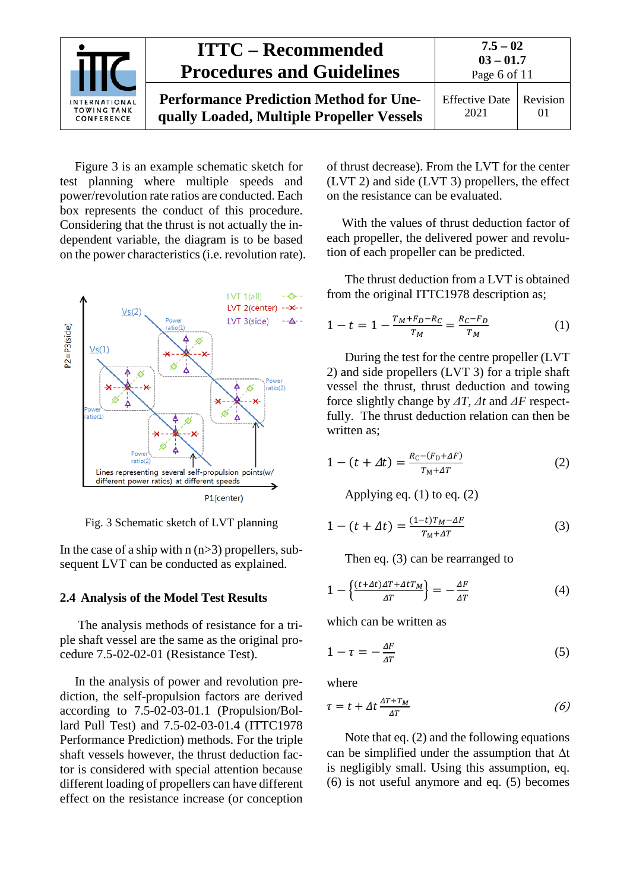

Figure 3 is an example schematic sketch for test planning where multiple speeds and power/revolution rate ratios are conducted. Each box represents the conduct of this procedure. Considering that the thrust is not actually the independent variable, the diagram is to be based on the power characteristics (i.e. revolution rate).



Fig. 3 Schematic sketch of LVT planning

In the case of a ship with  $n(n>3)$  propellers, subsequent LVT can be conducted as explained.

#### <span id="page-5-0"></span>**2.4 Analysis of the Model Test Results**

The analysis methods of resistance for a triple shaft vessel are the same as the original procedure 7.5-02-02-01 (Resistance Test).

In the analysis of power and revolution prediction, the self-propulsion factors are derived according to 7.5-02-03-01.1 (Propulsion/Bollard Pull Test) and 7.5-02-03-01.4 (ITTC1978 Performance Prediction) methods. For the triple shaft vessels however, the thrust deduction factor is considered with special attention because different loading of propellers can have different effect on the resistance increase (or conception

of thrust decrease). From the LVT for the center (LVT 2) and side (LVT 3) propellers, the effect on the resistance can be evaluated.

With the values of thrust deduction factor of each propeller, the delivered power and revolution of each propeller can be predicted.

The thrust deduction from a LVT is obtained from the original ITTC1978 description as;

$$
1 - t = 1 - \frac{T_M + F_D - R_C}{T_M} = \frac{R_C - F_D}{T_M} \tag{1}
$$

During the test for the centre propeller (LVT 2) and side propellers (LVT 3) for a triple shaft vessel the thrust, thrust deduction and towing force slightly change by *ΔT, Δt* and *ΔF* respectfully. The thrust deduction relation can then be written as;

$$
1 - (t + \Delta t) = \frac{R_C - (F_D + \Delta F)}{T_M + \Delta T}
$$
 (2)

Applying eq. (1) to eq. (2)

$$
1 - (t + \Delta t) = \frac{(1 - t)T_M - \Delta F}{T_M + \Delta T}
$$
 (3)

Then eq. (3) can be rearranged to

$$
1 - \left\{ \frac{(t + \Delta t)\Delta T + \Delta t T_M}{\Delta T} \right\} = -\frac{\Delta F}{\Delta T} \tag{4}
$$

which can be written as

$$
1 - \tau = -\frac{\Delta F}{\Delta T} \tag{5}
$$

where

$$
\tau = t + \Delta t \frac{\Delta T + T_M}{\Delta T} \tag{6}
$$

Note that eq. (2) and the following equations can be simplified under the assumption that ∆t is negligibly small. Using this assumption, eq. (6) is not useful anymore and eq. (5) becomes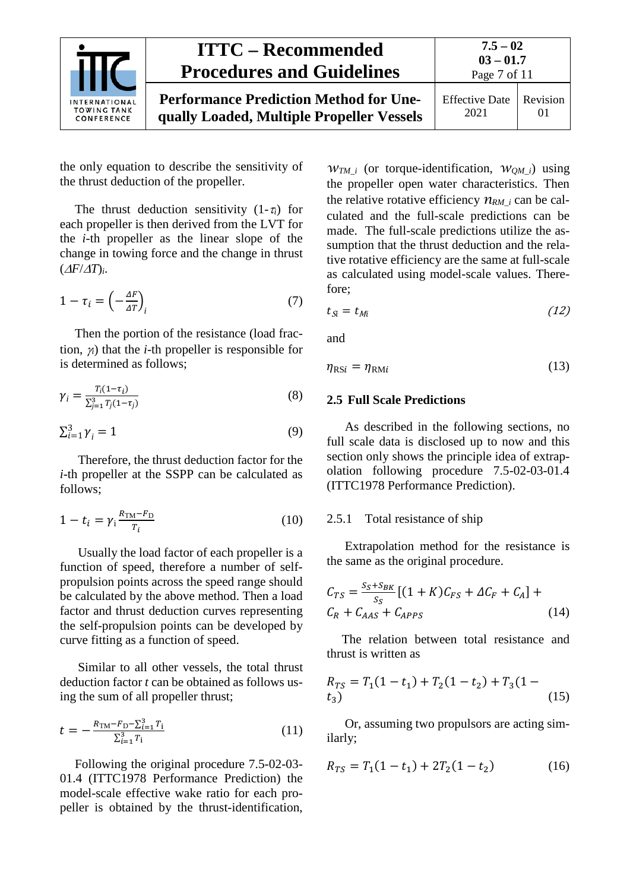

**Performance Prediction Method for Unequally Loaded, Multiple Propeller Vessels**

the only equation to describe the sensitivity of the thrust deduction of the propeller.

The thrust deduction sensitivity  $(1-\tau_i)$  for each propeller is then derived from the LVT for the *i*-th propeller as the linear slope of the change in towing force and the change in thrust (∆*F*/∆*T*)*i*.

$$
1 - \tau_i = \left(-\frac{\Delta F}{\Delta T}\right)_i \tag{7}
$$

Then the portion of the resistance (load fraction, <sup>γ</sup>*i*) that the *i*-th propeller is responsible for is determined as follows;

$$
\gamma_i = \frac{T_i(1-\tau_i)}{\sum_{j=1}^3 T_j(1-\tau_j)}
$$
(8)

$$
\sum_{i=1}^{3} \gamma_i = 1 \tag{9}
$$

Therefore, the thrust deduction factor for the *i*-th propeller at the SSPP can be calculated as follows;

$$
1 - t_i = \gamma_i \frac{R_{\text{TM}} - F_{\text{D}}}{T_i} \tag{10}
$$

Usually the load factor of each propeller is a function of speed, therefore a number of selfpropulsion points across the speed range should be calculated by the above method. Then a load factor and thrust deduction curves representing the self-propulsion points can be developed by curve fitting as a function of speed.

Similar to all other vessels, the total thrust deduction factor *t* can be obtained as follows using the sum of all propeller thrust;

$$
t = -\frac{R_{\rm TM} - F_{\rm D} - \sum_{i=1}^{3} T_i}{\sum_{i=1}^{3} T_i}
$$
(11)

Following the original procedure 7.5-02-03- 01.4 (ITTC1978 Performance Prediction) the model-scale effective wake ratio for each propeller is obtained by the thrust-identification,

*wTM\_i* (or torque-identification, *wQM\_i*) using the propeller open water characteristics. Then the relative rotative efficiency  $n_{RM_i}$  can be calculated and the full-scale predictions can be made. The full-scale predictions utilize the assumption that the thrust deduction and the relative rotative efficiency are the same at full-scale as calculated using model-scale values. Therefore;

$$
t_{\tilde{S}_i} = t_{Mi} \tag{12}
$$

and

<span id="page-6-0"></span>
$$
\eta_{\text{RS}i} = \eta_{\text{RM}i} \tag{13}
$$

#### **2.5 Full Scale Predictions**

As described in the following sections, no full scale data is disclosed up to now and this section only shows the principle idea of extrapolation following procedure 7.5-02-03-01.4 (ITTC1978 Performance Prediction).

#### <span id="page-6-1"></span>2.5.1 Total resistance of ship

Extrapolation method for the resistance is the same as the original procedure.

$$
C_{TS} = \frac{S_S + S_{BK}}{S_S} [(1 + K)C_{FS} + \Delta C_F + C_A] +
$$
  
\n
$$
C_R + C_{AAS} + C_{APPS}
$$
\n(14)

The relation between total resistance and thrust is written as

$$
R_{TS} = T_1(1 - t_1) + T_2(1 - t_2) + T_3(1 - t_3)
$$
\n
$$
(15)
$$

Or, assuming two propulsors are acting similarly;

$$
R_{TS} = T_1(1 - t_1) + 2T_2(1 - t_2)
$$
 (16)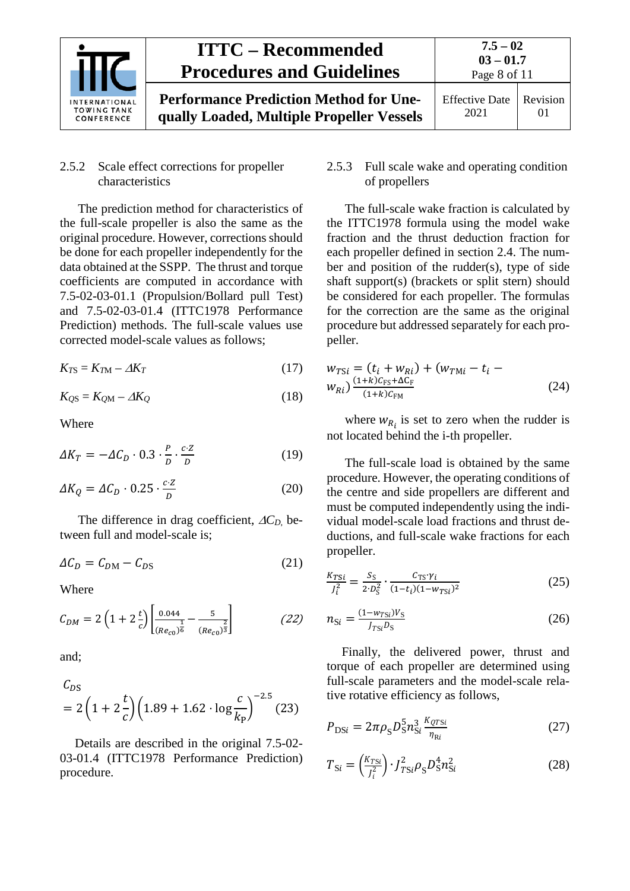

## Revision 01

### <span id="page-7-0"></span>2.5.2 Scale effect corrections for propeller characteristics

The prediction method for characteristics of the full-scale propeller is also the same as the original procedure. However, corrections should be done for each propeller independently for the data obtained at the SSPP. The thrust and torque coefficients are computed in accordance with 7.5-02-03-01.1 (Propulsion/Bollard pull Test) and 7.5-02-03-01.4 (ITTC1978 Performance Prediction) methods. The full-scale values use corrected model-scale values as follows;

$$
K_{TS} = K_{TM} - \Delta K_T \tag{17}
$$

$$
K_{QS} = K_{QM} - \Delta K_Q \tag{18}
$$

Where

$$
\Delta K_T = -\Delta C_D \cdot 0.3 \cdot \frac{P}{D} \cdot \frac{c \cdot Z}{D} \tag{19}
$$

$$
\Delta K_Q = \Delta C_D \cdot 0.25 \cdot \frac{c \cdot z}{D} \tag{20}
$$

The difference in drag coefficient, ∆*CD,* between full and model-scale is;

$$
\Delta C_D = C_{DM} - C_{DS} \tag{21}
$$

Where

$$
C_{DM} = 2\left(1 + 2\frac{t}{c}\right) \left[\frac{0.044}{(Re_{c0})^{\frac{1}{6}}} - \frac{5}{(Re_{c0})^{\frac{2}{3}}}\right]
$$
 (22)

and;

$$
C_{DS}
$$
  
= 2\left(1 + 2\frac{t}{c}\right)\left(1.89 + 1.62 \cdot \log\frac{c}{k\_{P}}\right)^{-2.5}(23)

Details are described in the original 7.5-02- 03-01.4 (ITTC1978 Performance Prediction) procedure.

### <span id="page-7-1"></span>2.5.3 Full scale wake and operating condition of propellers

The full-scale wake fraction is calculated by the ITTC1978 formula using the model wake fraction and the thrust deduction fraction for each propeller defined in section 2.4. The number and position of the rudder(s), type of side shaft support(s) (brackets or split stern) should be considered for each propeller. The formulas for the correction are the same as the original procedure but addressed separately for each propeller.

$$
w_{TSi} = (t_i + w_{Ri}) + (w_{TMi} - t_i - w_{Ri}) \frac{(1+k)C_{FS} + \Delta C_F}{(1+k)C_{FM}}
$$
\n(24)

where  $w_{R_i}$  is set to zero when the rudder is not located behind the i-th propeller.

The full-scale load is obtained by the same procedure. However, the operating conditions of the centre and side propellers are different and must be computed independently using the individual model-scale load fractions and thrust deductions, and full-scale wake fractions for each propeller.

$$
\frac{K_{TSi}}{J_i^2} = \frac{S_S}{2 \cdot D_S^2} \cdot \frac{C_{TS} \cdot \gamma_i}{(1 - t_i)(1 - w_{TSi})^2} \tag{25}
$$

$$
n_{\rm Si} = \frac{(1 - w_{\rm TSi})V_{\rm S}}{I_{\rm TSi} D_{\rm S}}\tag{26}
$$

Finally, the delivered power, thrust and torque of each propeller are determined using full-scale parameters and the model-scale relative rotative efficiency as follows,

$$
P_{\text{DS}i} = 2\pi \rho_{\text{S}} D_{\text{S}}^5 n_{\text{Si}}^3 \frac{\kappa_{\text{QTS}i}}{\eta_{\text{R}i}} \tag{27}
$$

$$
T_{\text{Si}} = \left(\frac{K_{\text{TS}i}}{J_i^2}\right) \cdot J_{\text{TS}i}^2 \rho_{\text{S}} D_{\text{S}}^4 n_{\text{Si}}^2 \tag{28}
$$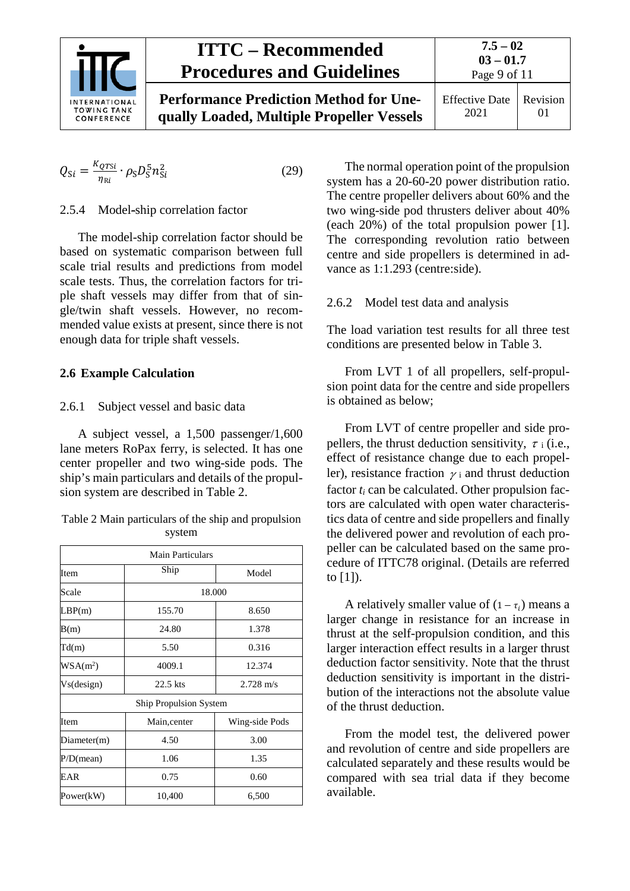

**Performance Prediction Method for Unequally Loaded, Multiple Propeller Vessels** **7.5 – 02**

$$
Q_{Si} = \frac{K_{QTSi}}{\eta_{Ri}} \cdot \rho_S D_S^5 n_{Si}^2 \tag{29}
$$

#### <span id="page-8-0"></span>2.5.4 Model-ship correlation factor

The model-ship correlation factor should be based on systematic comparison between full scale trial results and predictions from model scale tests. Thus, the correlation factors for triple shaft vessels may differ from that of single/twin shaft vessels. However, no recommended value exists at present, since there is not enough data for triple shaft vessels.

### <span id="page-8-2"></span><span id="page-8-1"></span>**2.6 Example Calculation**

#### 2.6.1 Subject vessel and basic data

A subject vessel, a 1,500 passenger/1,600 lane meters RoPax ferry, is selected. It has one center propeller and two wing-side pods. The ship's main particulars and details of the propulsion system are described in Table 2.

Table 2 Main particulars of the ship and propulsion system

| <b>Main Particulars</b> |                                   |       |  |  |
|-------------------------|-----------------------------------|-------|--|--|
| Item                    | Ship<br>Model                     |       |  |  |
| Scale                   | 18.000                            |       |  |  |
| LBP(m)                  | 155.70                            | 8.650 |  |  |
| B(m)                    | 24.80                             | 1.378 |  |  |
| Td(m)                   | 5.50                              | 0.316 |  |  |
| $WSA(m^2)$              | 4009.1<br>12.374                  |       |  |  |
| Vs(design)              | $22.5$ kts<br>$2.728 \text{ m/s}$ |       |  |  |
|                         | Ship Propulsion System            |       |  |  |
| Item                    | Wing-side Pods<br>Main, center    |       |  |  |
| Diameter(m)             | 4.50<br>3.00                      |       |  |  |
| $P/D$ (mean)            | 1.06                              | 1.35  |  |  |
| EAR                     | 0.75<br>0.60                      |       |  |  |
| Power(kW)               | 10,400                            | 6,500 |  |  |

The normal operation point of the propulsion system has a 20-60-20 power distribution ratio. The centre propeller delivers about 60% and the two wing-side pod thrusters deliver about 40% (each 20%) of the total propulsion power [1]. The corresponding revolution ratio between centre and side propellers is determined in advance as 1:1.293 (centre:side).

### <span id="page-8-3"></span>2.6.2 Model test data and analysis

The load variation test results for all three test conditions are presented below in Table 3.

From LVT 1 of all propellers, self-propulsion point data for the centre and side propellers is obtained as below;

From LVT of centre propeller and side propellers, the thrust deduction sensitivity,  $\tau$  i (i.e., effect of resistance change due to each propeller), resistance fraction  $\gamma$  i and thrust deduction factor  $t_i$  can be calculated. Other propulsion factors are calculated with open water characteristics data of centre and side propellers and finally the delivered power and revolution of each propeller can be calculated based on the same procedure of ITTC78 original. (Details are referred to [1]).

A relatively smaller value of  $(1 - \tau_i)$  means a larger change in resistance for an increase in thrust at the self-propulsion condition, and this larger interaction effect results in a larger thrust deduction factor sensitivity. Note that the thrust deduction sensitivity is important in the distribution of the interactions not the absolute value of the thrust deduction.

From the model test, the delivered power and revolution of centre and side propellers are calculated separately and these results would be compared with sea trial data if they become available.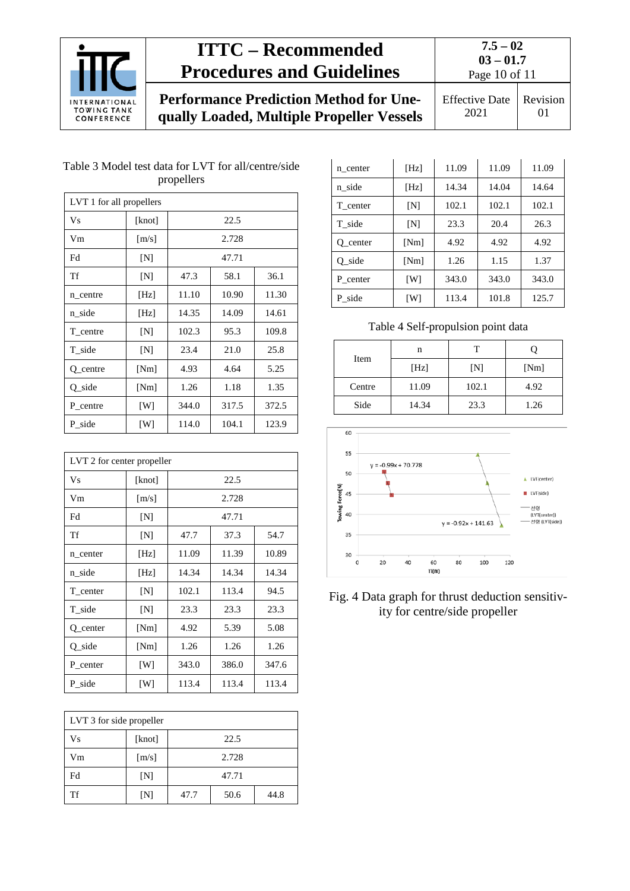

**7.5 – 02 03 – 01.7**

**Performance Prediction Method for Unequally Loaded, Multiple Propeller Vessels**

Page 10 of 11 Effective Date

2021 Revision 01

### Table 3 Model test data for LVT for all/centre/side propellers

| LVT 1 for all propellers |                     |                        |       |       |  |  |
|--------------------------|---------------------|------------------------|-------|-------|--|--|
| Vs                       | [knot]              |                        | 22.5  |       |  |  |
| Vm                       | $\lceil m/s \rceil$ |                        | 2.728 |       |  |  |
| Fd                       | [N]                 |                        | 47.71 |       |  |  |
| Tf                       | [N]                 | 47.3                   | 58.1  | 36.1  |  |  |
| n_centre                 | [Hz]                | 11.10                  | 10.90 | 11.30 |  |  |
| n_side                   | [Hz]                | 14.35                  | 14.09 | 14.61 |  |  |
| T centre                 | [N]                 | 102.3<br>95.3<br>109.8 |       |       |  |  |
| T side                   | [N]                 | 23.4                   | 21.0  | 25.8  |  |  |
| Q_centre                 | [Nm]                | 4.93                   | 4.64  | 5.25  |  |  |
| $Q$ _side                | [Nm]                | 1.26                   | 1.18  | 1.35  |  |  |
| P centre                 | [W]                 | 344.0                  | 317.5 | 372.5 |  |  |
| P side                   | [W]                 | 114.0                  | 104.1 | 123.9 |  |  |

| LVT 2 for center propeller |                     |                         |       |       |  |  |
|----------------------------|---------------------|-------------------------|-------|-------|--|--|
| <b>Vs</b>                  | [knot]              |                         | 22.5  |       |  |  |
| Vm                         | $\lceil m/s \rceil$ |                         | 2.728 |       |  |  |
| Fd                         | [N]                 |                         | 47.71 |       |  |  |
| Tf                         | [N]                 | 47.7                    | 37.3  | 54.7  |  |  |
| n_center                   | [Hz]                | 11.09                   | 11.39 | 10.89 |  |  |
| n side                     | [Hz]                | 14.34                   | 14.34 | 14.34 |  |  |
| T_center                   | [N]                 | 102.1<br>94.5<br>113.4  |       |       |  |  |
| T_side                     | [N]                 | 23.3                    | 23.3  | 23.3  |  |  |
| Q_center                   | [Nm]                | 4.92                    | 5.39  | 5.08  |  |  |
| Q_side                     | [Nm]                | 1.26                    | 1.26  | 1.26  |  |  |
| P center                   | [W]                 | 343.0<br>386.0<br>347.6 |       |       |  |  |
| P_side                     | [W]                 | 113.4                   | 113.4 | 113.4 |  |  |

| LVT 3 for side propeller |        |       |      |      |
|--------------------------|--------|-------|------|------|
| Vs                       | [knot] |       | 22.5 |      |
| Vm                       | [m/s]  | 2.728 |      |      |
| Fd                       | [N]    | 47.71 |      |      |
| Tf                       | [N]    | 47.7  | 50.6 | 44.8 |

| n center  | [Hz] | 11.09 | 11.09 | 11.09 |
|-----------|------|-------|-------|-------|
| n_side    | [Hz] | 14.34 | 14.04 | 14.64 |
| T center  | [N]  | 102.1 | 102.1 | 102.1 |
| T side    | [N]  | 23.3  | 20.4  | 26.3  |
| O center  | [Nm] | 4.92  | 4.92  | 4.92  |
| $Q$ _side | [Nm] | 1.26  | 1.15  | 1.37  |
| P center  | [W]  | 343.0 | 343.0 | 343.0 |
| P side    | [W]  | 113.4 | 101.8 | 125.7 |

Table 4 Self-propulsion point data

| Item   | n     |       |      |
|--------|-------|-------|------|
|        | [Hz]  | [N]   | [Nm] |
| Centre | 11.09 | 102.1 | 4.92 |
| Side   | 14.34 | 23.3  | 1.26 |



Fig. 4 Data graph for thrust deduction sensitivity for centre/side propeller